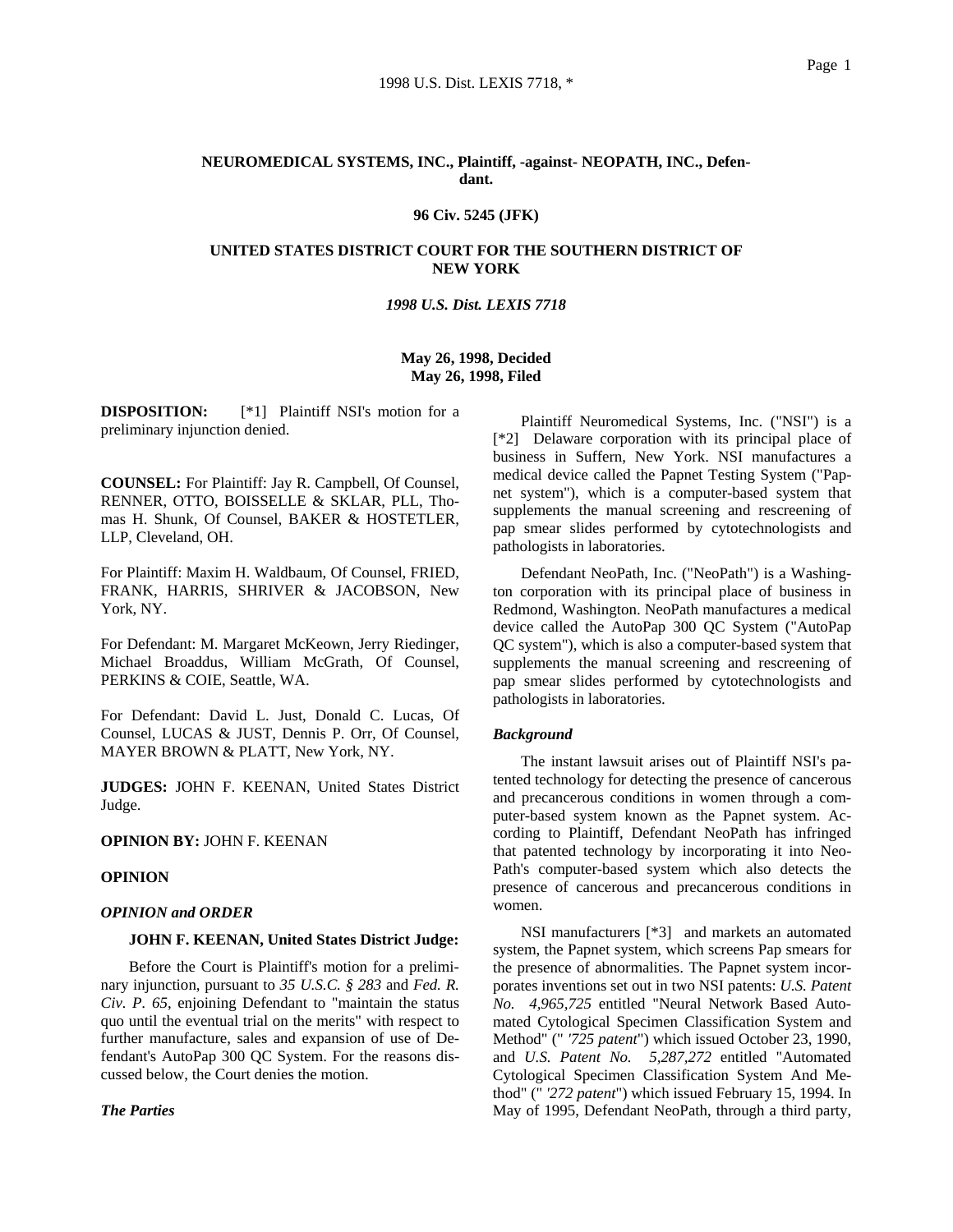# **NEUROMEDICAL SYSTEMS, INC., Plaintiff, -against- NEOPATH, INC., Defendant.**

# **96 Civ. 5245 (JFK)**

### **UNITED STATES DISTRICT COURT FOR THE SOUTHERN DISTRICT OF NEW YORK**

### *1998 U.S. Dist. LEXIS 7718*

## **May 26, 1998, Decided May 26, 1998, Filed**

**DISPOSITION:** [\*1] Plaintiff NSI's motion for a preliminary injunction denied.

**COUNSEL:** For Plaintiff: Jay R. Campbell, Of Counsel, RENNER, OTTO, BOISSELLE & SKLAR, PLL, Thomas H. Shunk, Of Counsel, BAKER & HOSTETLER, LLP, Cleveland, OH.

For Plaintiff: Maxim H. Waldbaum, Of Counsel, FRIED, FRANK, HARRIS, SHRIVER & JACOBSON, New York, NY.

For Defendant: M. Margaret McKeown, Jerry Riedinger, Michael Broaddus, William McGrath, Of Counsel, PERKINS & COIE, Seattle, WA.

For Defendant: David L. Just, Donald C. Lucas, Of Counsel, LUCAS & JUST, Dennis P. Orr, Of Counsel, MAYER BROWN & PLATT, New York, NY.

**JUDGES:** JOHN F. KEENAN, United States District Judge.

**OPINION BY:** JOHN F. KEENAN

## **OPINION**

### *OPINION and ORDER*

# **JOHN F. KEENAN, United States District Judge:**

Before the Court is Plaintiff's motion for a preliminary injunction, pursuant to *35 U.S.C. § 283* and *Fed. R. Civ. P. 65*, enjoining Defendant to "maintain the status quo until the eventual trial on the merits" with respect to further manufacture, sales and expansion of use of Defendant's AutoPap 300 QC System. For the reasons discussed below, the Court denies the motion.

*The Parties*

Plaintiff Neuromedical Systems, Inc. ("NSI") is a [\*2] Delaware corporation with its principal place of business in Suffern, New York. NSI manufactures a medical device called the Papnet Testing System ("Papnet system"), which is a computer-based system that supplements the manual screening and rescreening of pap smear slides performed by cytotechnologists and pathologists in laboratories.

Defendant NeoPath, Inc. ("NeoPath") is a Washington corporation with its principal place of business in Redmond, Washington. NeoPath manufactures a medical device called the AutoPap 300 QC System ("AutoPap QC system"), which is also a computer-based system that supplements the manual screening and rescreening of pap smear slides performed by cytotechnologists and pathologists in laboratories.

### *Background*

The instant lawsuit arises out of Plaintiff NSI's patented technology for detecting the presence of cancerous and precancerous conditions in women through a computer-based system known as the Papnet system. According to Plaintiff, Defendant NeoPath has infringed that patented technology by incorporating it into Neo-Path's computer-based system which also detects the presence of cancerous and precancerous conditions in women.

NSI manufacturers [\*3] and markets an automated system, the Papnet system, which screens Pap smears for the presence of abnormalities. The Papnet system incorporates inventions set out in two NSI patents: *U.S. Patent No. 4,965,725* entitled "Neural Network Based Automated Cytological Specimen Classification System and Method" (" *'725 patent*") which issued October 23, 1990, and *U.S. Patent No. 5,287,272* entitled "Automated Cytological Specimen Classification System And Method" (" *'272 patent*") which issued February 15, 1994. In May of 1995, Defendant NeoPath, through a third party,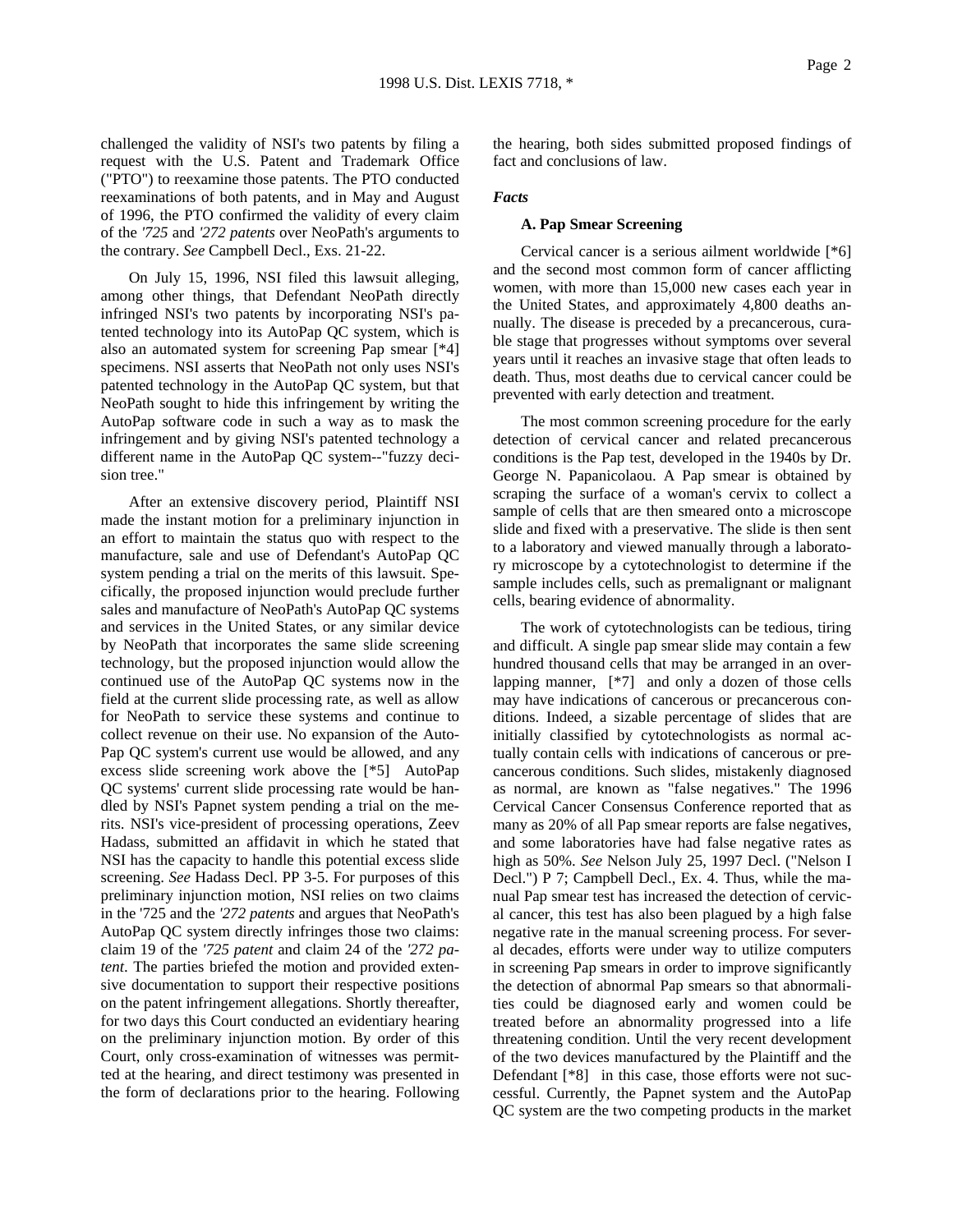challenged the validity of NSI's two patents by filing a request with the U.S. Patent and Trademark Office ("PTO") to reexamine those patents. The PTO conducted reexaminations of both patents, and in May and August of 1996, the PTO confirmed the validity of every claim of the *'725* and *'272 patents* over NeoPath's arguments to the contrary. *See* Campbell Decl., Exs. 21-22.

On July 15, 1996, NSI filed this lawsuit alleging, among other things, that Defendant NeoPath directly infringed NSI's two patents by incorporating NSI's patented technology into its AutoPap QC system, which is also an automated system for screening Pap smear [\*4] specimens. NSI asserts that NeoPath not only uses NSI's patented technology in the AutoPap QC system, but that NeoPath sought to hide this infringement by writing the AutoPap software code in such a way as to mask the infringement and by giving NSI's patented technology a different name in the AutoPap QC system--"fuzzy decision tree."

After an extensive discovery period, Plaintiff NSI made the instant motion for a preliminary injunction in an effort to maintain the status quo with respect to the manufacture, sale and use of Defendant's AutoPap QC system pending a trial on the merits of this lawsuit. Specifically, the proposed injunction would preclude further sales and manufacture of NeoPath's AutoPap QC systems and services in the United States, or any similar device by NeoPath that incorporates the same slide screening technology, but the proposed injunction would allow the continued use of the AutoPap QC systems now in the field at the current slide processing rate, as well as allow for NeoPath to service these systems and continue to collect revenue on their use. No expansion of the Auto-Pap QC system's current use would be allowed, and any excess slide screening work above the [\*5] AutoPap QC systems' current slide processing rate would be handled by NSI's Papnet system pending a trial on the merits. NSI's vice-president of processing operations, Zeev Hadass, submitted an affidavit in which he stated that NSI has the capacity to handle this potential excess slide screening. *See* Hadass Decl. PP 3-5. For purposes of this preliminary injunction motion, NSI relies on two claims in the '725 and the *'272 patents* and argues that NeoPath's AutoPap QC system directly infringes those two claims: claim 19 of the *'725 patent* and claim 24 of the *'272 patent*. The parties briefed the motion and provided extensive documentation to support their respective positions on the patent infringement allegations. Shortly thereafter, for two days this Court conducted an evidentiary hearing on the preliminary injunction motion. By order of this Court, only cross-examination of witnesses was permitted at the hearing, and direct testimony was presented in the form of declarations prior to the hearing. Following the hearing, both sides submitted proposed findings of fact and conclusions of law.

#### *Facts*

#### **A. Pap Smear Screening**

Cervical cancer is a serious ailment worldwide [\*6] and the second most common form of cancer afflicting women, with more than 15,000 new cases each year in the United States, and approximately 4,800 deaths annually. The disease is preceded by a precancerous, curable stage that progresses without symptoms over several years until it reaches an invasive stage that often leads to death. Thus, most deaths due to cervical cancer could be prevented with early detection and treatment.

The most common screening procedure for the early detection of cervical cancer and related precancerous conditions is the Pap test, developed in the 1940s by Dr. George N. Papanicolaou. A Pap smear is obtained by scraping the surface of a woman's cervix to collect a sample of cells that are then smeared onto a microscope slide and fixed with a preservative. The slide is then sent to a laboratory and viewed manually through a laboratory microscope by a cytotechnologist to determine if the sample includes cells, such as premalignant or malignant cells, bearing evidence of abnormality.

The work of cytotechnologists can be tedious, tiring and difficult. A single pap smear slide may contain a few hundred thousand cells that may be arranged in an overlapping manner, [\*7] and only a dozen of those cells may have indications of cancerous or precancerous conditions. Indeed, a sizable percentage of slides that are initially classified by cytotechnologists as normal actually contain cells with indications of cancerous or precancerous conditions. Such slides, mistakenly diagnosed as normal, are known as "false negatives." The 1996 Cervical Cancer Consensus Conference reported that as many as 20% of all Pap smear reports are false negatives, and some laboratories have had false negative rates as high as 50%. *See* Nelson July 25, 1997 Decl. ("Nelson I Decl.") P 7; Campbell Decl., Ex. 4. Thus, while the manual Pap smear test has increased the detection of cervical cancer, this test has also been plagued by a high false negative rate in the manual screening process. For several decades, efforts were under way to utilize computers in screening Pap smears in order to improve significantly the detection of abnormal Pap smears so that abnormalities could be diagnosed early and women could be treated before an abnormality progressed into a life threatening condition. Until the very recent development of the two devices manufactured by the Plaintiff and the Defendant [\*8] in this case, those efforts were not successful. Currently, the Papnet system and the AutoPap QC system are the two competing products in the market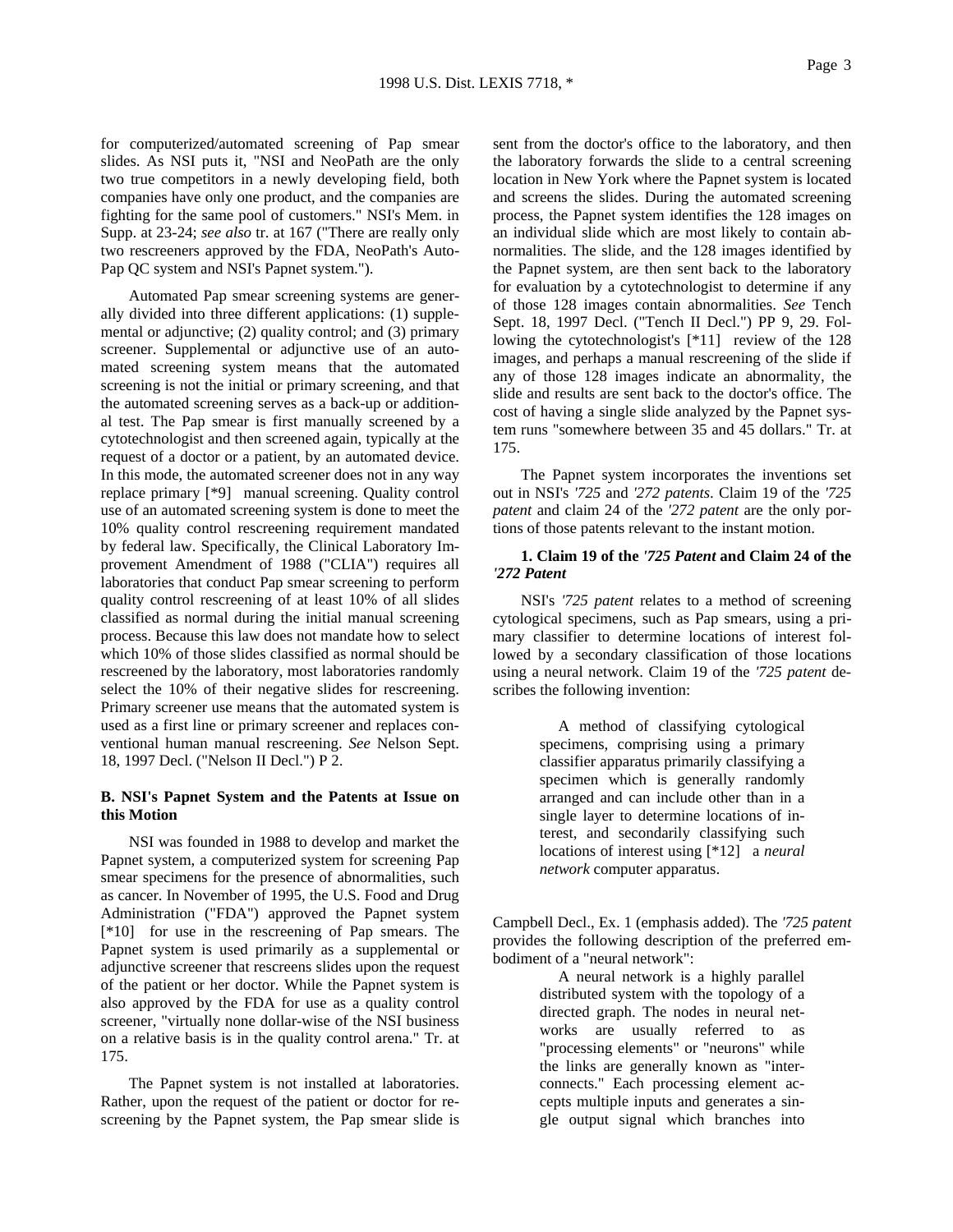for computerized/automated screening of Pap smear slides. As NSI puts it, "NSI and NeoPath are the only two true competitors in a newly developing field, both companies have only one product, and the companies are fighting for the same pool of customers." NSI's Mem. in Supp. at 23-24; *see also* tr. at 167 ("There are really only two rescreeners approved by the FDA, NeoPath's Auto-Pap QC system and NSI's Papnet system.").

Automated Pap smear screening systems are generally divided into three different applications: (1) supplemental or adjunctive; (2) quality control; and (3) primary screener. Supplemental or adjunctive use of an automated screening system means that the automated screening is not the initial or primary screening, and that the automated screening serves as a back-up or additional test. The Pap smear is first manually screened by a cytotechnologist and then screened again, typically at the request of a doctor or a patient, by an automated device. In this mode, the automated screener does not in any way replace primary [\*9] manual screening. Quality control use of an automated screening system is done to meet the 10% quality control rescreening requirement mandated by federal law. Specifically, the Clinical Laboratory Improvement Amendment of 1988 ("CLIA") requires all laboratories that conduct Pap smear screening to perform quality control rescreening of at least 10% of all slides classified as normal during the initial manual screening process. Because this law does not mandate how to select which 10% of those slides classified as normal should be rescreened by the laboratory, most laboratories randomly select the 10% of their negative slides for rescreening. Primary screener use means that the automated system is used as a first line or primary screener and replaces conventional human manual rescreening. *See* Nelson Sept. 18, 1997 Decl. ("Nelson II Decl.") P 2.

## **B. NSI's Papnet System and the Patents at Issue on this Motion**

NSI was founded in 1988 to develop and market the Papnet system, a computerized system for screening Pap smear specimens for the presence of abnormalities, such as cancer. In November of 1995, the U.S. Food and Drug Administration ("FDA") approved the Papnet system [\*10] for use in the rescreening of Pap smears. The Papnet system is used primarily as a supplemental or adjunctive screener that rescreens slides upon the request of the patient or her doctor. While the Papnet system is also approved by the FDA for use as a quality control screener, "virtually none dollar-wise of the NSI business on a relative basis is in the quality control arena." Tr. at 175.

The Papnet system is not installed at laboratories. Rather, upon the request of the patient or doctor for rescreening by the Papnet system, the Pap smear slide is

sent from the doctor's office to the laboratory, and then the laboratory forwards the slide to a central screening location in New York where the Papnet system is located and screens the slides. During the automated screening process, the Papnet system identifies the 128 images on an individual slide which are most likely to contain abnormalities. The slide, and the 128 images identified by the Papnet system, are then sent back to the laboratory for evaluation by a cytotechnologist to determine if any of those 128 images contain abnormalities. *See* Tench Sept. 18, 1997 Decl. ("Tench II Decl.") PP 9, 29. Following the cytotechnologist's [\*11] review of the 128 images, and perhaps a manual rescreening of the slide if any of those 128 images indicate an abnormality, the slide and results are sent back to the doctor's office. The cost of having a single slide analyzed by the Papnet system runs "somewhere between 35 and 45 dollars." Tr. at 175.

The Papnet system incorporates the inventions set out in NSI's *'725* and *'272 patents*. Claim 19 of the *'725 patent* and claim 24 of the *'272 patent* are the only portions of those patents relevant to the instant motion.

## **1. Claim 19 of the** *'725 Patent* **and Claim 24 of the**  *'272 Patent*

NSI's *'725 patent* relates to a method of screening cytological specimens, such as Pap smears, using a primary classifier to determine locations of interest followed by a secondary classification of those locations using a neural network. Claim 19 of the *'725 patent* describes the following invention:

> A method of classifying cytological specimens, comprising using a primary classifier apparatus primarily classifying a specimen which is generally randomly arranged and can include other than in a single layer to determine locations of interest, and secondarily classifying such locations of interest using [\*12] a *neural network* computer apparatus.

Campbell Decl., Ex. 1 (emphasis added). The *'725 patent* provides the following description of the preferred embodiment of a "neural network":

> A neural network is a highly parallel distributed system with the topology of a directed graph. The nodes in neural networks are usually referred to as "processing elements" or "neurons" while the links are generally known as "interconnects." Each processing element accepts multiple inputs and generates a single output signal which branches into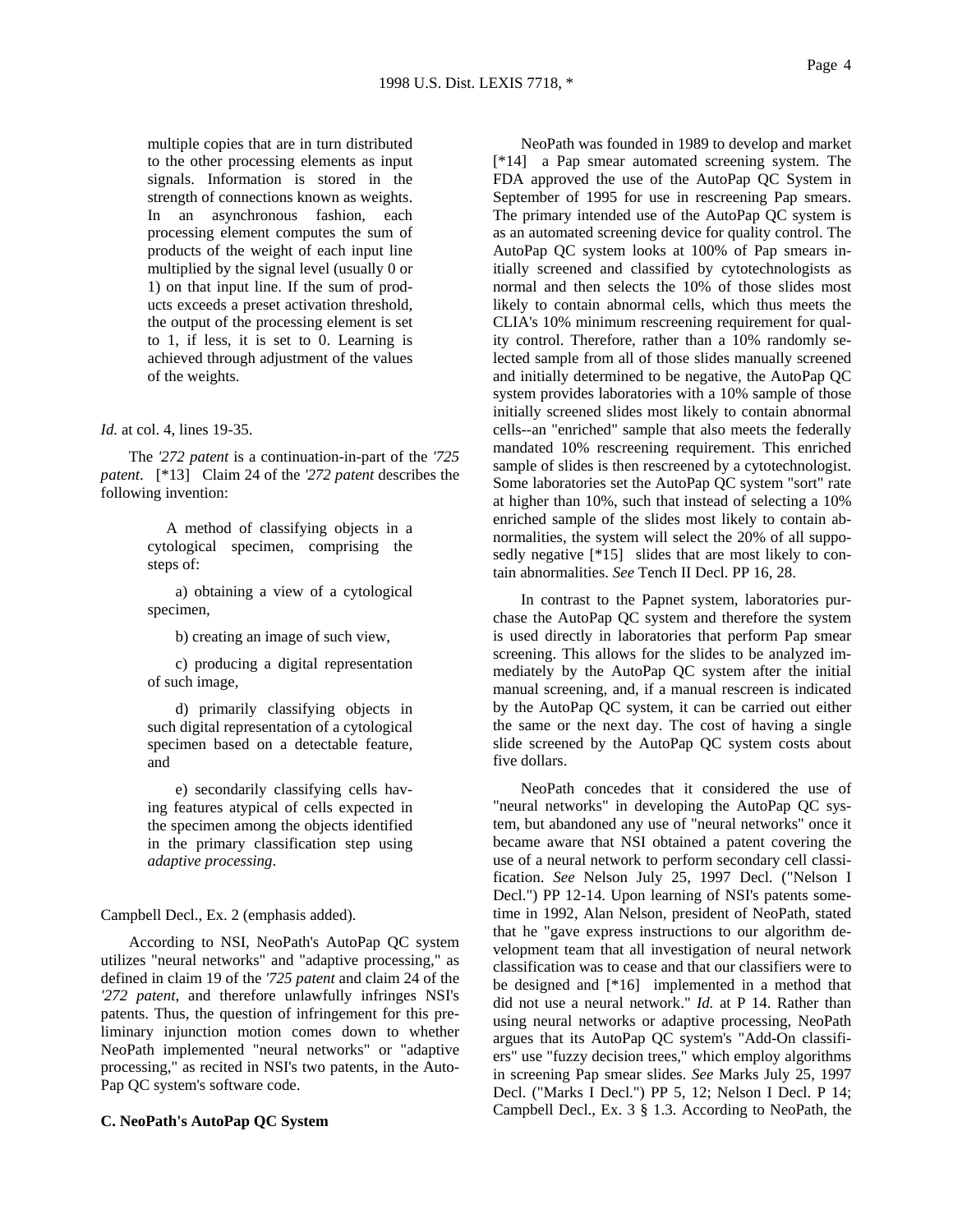multiple copies that are in turn distributed to the other processing elements as input signals. Information is stored in the strength of connections known as weights. In an asynchronous fashion, each processing element computes the sum of products of the weight of each input line multiplied by the signal level (usually 0 or 1) on that input line. If the sum of products exceeds a preset activation threshold, the output of the processing element is set to 1, if less, it is set to 0. Learning is achieved through adjustment of the values of the weights.

*Id.* at col. 4, lines 19-35.

The *'272 patent* is a continuation-in-part of the *'725 patent*. [\*13] Claim 24 of the *'272 patent* describes the following invention:

> A method of classifying objects in a cytological specimen, comprising the steps of:

> a) obtaining a view of a cytological specimen,

> > b) creating an image of such view,

c) producing a digital representation of such image,

d) primarily classifying objects in such digital representation of a cytological specimen based on a detectable feature, and

e) secondarily classifying cells having features atypical of cells expected in the specimen among the objects identified in the primary classification step using *adaptive processing*.

Campbell Decl., Ex. 2 (emphasis added).

According to NSI, NeoPath's AutoPap QC system utilizes "neural networks" and "adaptive processing," as defined in claim 19 of the *'725 patent* and claim 24 of the *'272 patent*, and therefore unlawfully infringes NSI's patents. Thus, the question of infringement for this preliminary injunction motion comes down to whether NeoPath implemented "neural networks" or "adaptive processing," as recited in NSI's two patents, in the Auto-Pap QC system's software code.

## **C. NeoPath's AutoPap QC System**

NeoPath was founded in 1989 to develop and market [\*14] a Pap smear automated screening system. The FDA approved the use of the AutoPap QC System in September of 1995 for use in rescreening Pap smears. The primary intended use of the AutoPap QC system is as an automated screening device for quality control. The AutoPap QC system looks at 100% of Pap smears initially screened and classified by cytotechnologists as normal and then selects the 10% of those slides most likely to contain abnormal cells, which thus meets the CLIA's 10% minimum rescreening requirement for quality control. Therefore, rather than a 10% randomly selected sample from all of those slides manually screened and initially determined to be negative, the AutoPap QC system provides laboratories with a 10% sample of those initially screened slides most likely to contain abnormal cells--an "enriched" sample that also meets the federally mandated 10% rescreening requirement. This enriched sample of slides is then rescreened by a cytotechnologist. Some laboratories set the AutoPap QC system "sort" rate at higher than 10%, such that instead of selecting a 10% enriched sample of the slides most likely to contain abnormalities, the system will select the 20% of all supposedly negative [\*15] slides that are most likely to contain abnormalities. *See* Tench II Decl. PP 16, 28.

In contrast to the Papnet system, laboratories purchase the AutoPap QC system and therefore the system is used directly in laboratories that perform Pap smear screening. This allows for the slides to be analyzed immediately by the AutoPap QC system after the initial manual screening, and, if a manual rescreen is indicated by the AutoPap QC system, it can be carried out either the same or the next day. The cost of having a single slide screened by the AutoPap QC system costs about five dollars.

NeoPath concedes that it considered the use of "neural networks" in developing the AutoPap QC system, but abandoned any use of "neural networks" once it became aware that NSI obtained a patent covering the use of a neural network to perform secondary cell classification. *See* Nelson July 25, 1997 Decl. ("Nelson I Decl.") PP 12-14. Upon learning of NSI's patents sometime in 1992, Alan Nelson, president of NeoPath, stated that he "gave express instructions to our algorithm development team that all investigation of neural network classification was to cease and that our classifiers were to be designed and [\*16] implemented in a method that did not use a neural network." *Id.* at P 14. Rather than using neural networks or adaptive processing, NeoPath argues that its AutoPap QC system's "Add-On classifiers" use "fuzzy decision trees," which employ algorithms in screening Pap smear slides. *See* Marks July 25, 1997 Decl. ("Marks I Decl.") PP 5, 12; Nelson I Decl. P 14; Campbell Decl., Ex. 3 § 1.3. According to NeoPath, the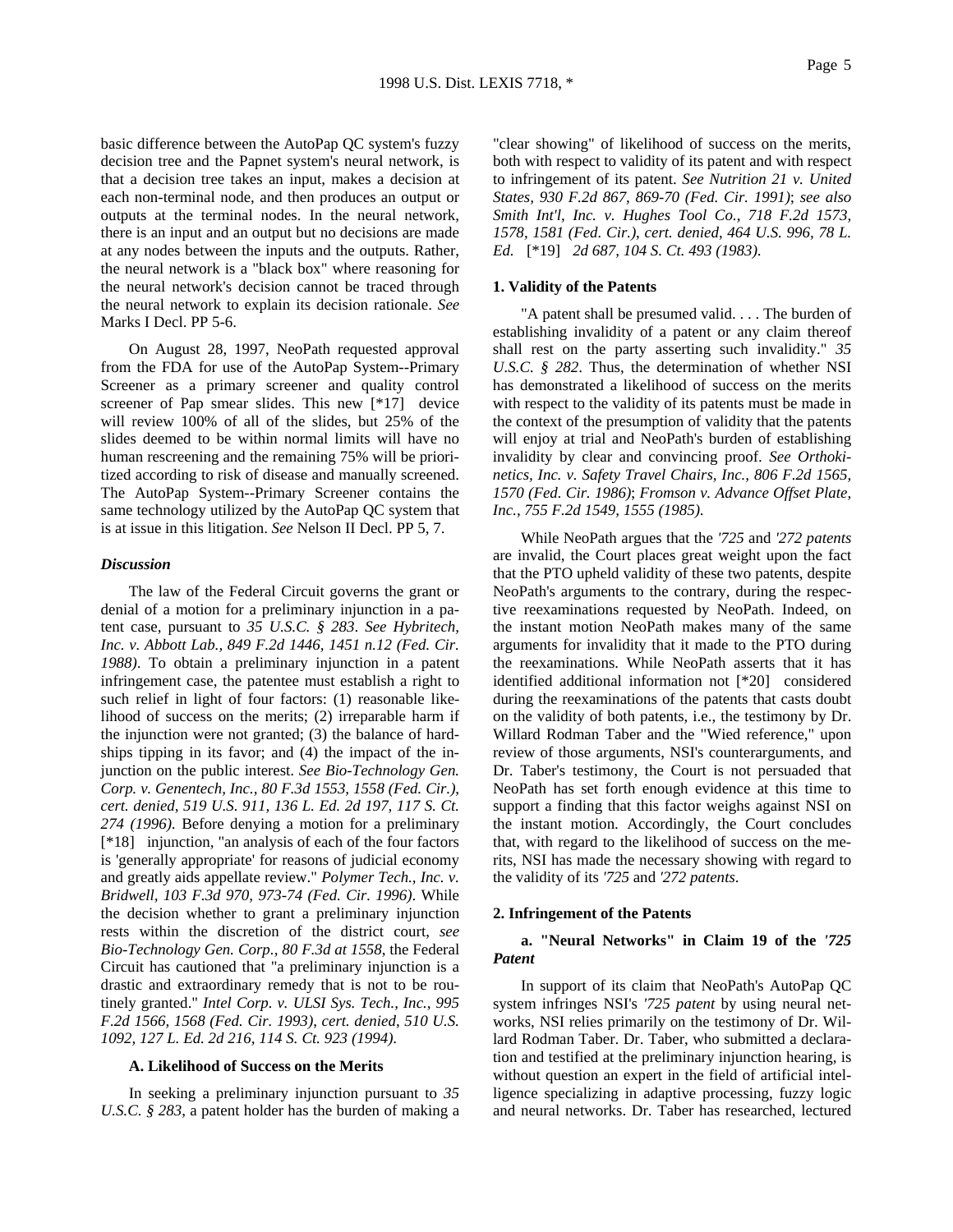basic difference between the AutoPap QC system's fuzzy decision tree and the Papnet system's neural network, is that a decision tree takes an input, makes a decision at each non-terminal node, and then produces an output or outputs at the terminal nodes. In the neural network, there is an input and an output but no decisions are made at any nodes between the inputs and the outputs. Rather, the neural network is a "black box" where reasoning for the neural network's decision cannot be traced through the neural network to explain its decision rationale. *See* Marks I Decl. PP 5-6.

On August 28, 1997, NeoPath requested approval from the FDA for use of the AutoPap System--Primary Screener as a primary screener and quality control screener of Pap smear slides. This new [\*17] device will review 100% of all of the slides, but 25% of the slides deemed to be within normal limits will have no human rescreening and the remaining 75% will be prioritized according to risk of disease and manually screened. The AutoPap System--Primary Screener contains the same technology utilized by the AutoPap QC system that is at issue in this litigation. *See* Nelson II Decl. PP 5, 7.

### *Discussion*

The law of the Federal Circuit governs the grant or denial of a motion for a preliminary injunction in a patent case, pursuant to *35 U.S.C. § 283*. *See Hybritech, Inc. v. Abbott Lab., 849 F.2d 1446, 1451 n.12 (Fed. Cir. 1988)*. To obtain a preliminary injunction in a patent infringement case, the patentee must establish a right to such relief in light of four factors: (1) reasonable likelihood of success on the merits; (2) irreparable harm if the injunction were not granted; (3) the balance of hardships tipping in its favor; and (4) the impact of the injunction on the public interest. *See Bio-Technology Gen. Corp. v. Genentech, Inc., 80 F.3d 1553, 1558 (Fed. Cir.)*, *cert. denied*, *519 U.S. 911, 136 L. Ed. 2d 197, 117 S. Ct. 274 (1996)*. Before denying a motion for a preliminary [\*18] injunction, "an analysis of each of the four factors is 'generally appropriate' for reasons of judicial economy and greatly aids appellate review." *Polymer Tech., Inc. v. Bridwell, 103 F.3d 970, 973-74 (Fed. Cir. 1996)*. While the decision whether to grant a preliminary injunction rests within the discretion of the district court, *see Bio-Technology Gen. Corp., 80 F.3d at 1558*, the Federal Circuit has cautioned that "a preliminary injunction is a drastic and extraordinary remedy that is not to be routinely granted." *Intel Corp. v. ULSI Sys. Tech., Inc., 995 F.2d 1566, 1568 (Fed. Cir. 1993)*, *cert. denied*, *510 U.S. 1092, 127 L. Ed. 2d 216, 114 S. Ct. 923 (1994)*.

#### **A. Likelihood of Success on the Merits**

In seeking a preliminary injunction pursuant to *35 U.S.C. § 283*, a patent holder has the burden of making a

"clear showing" of likelihood of success on the merits, both with respect to validity of its patent and with respect to infringement of its patent. *See Nutrition 21 v. United States, 930 F.2d 867, 869-70 (Fed. Cir. 1991)*; *see also Smith Int'l, Inc. v. Hughes Tool Co., 718 F.2d 1573, 1578, 1581 (Fed. Cir.)*, *cert. denied*, *464 U.S. 996, 78 L. Ed.* [\*19] *2d 687, 104 S. Ct. 493 (1983)*.

#### **1. Validity of the Patents**

"A patent shall be presumed valid. . . . The burden of establishing invalidity of a patent or any claim thereof shall rest on the party asserting such invalidity." *35 U.S.C. § 282*. Thus, the determination of whether NSI has demonstrated a likelihood of success on the merits with respect to the validity of its patents must be made in the context of the presumption of validity that the patents will enjoy at trial and NeoPath's burden of establishing invalidity by clear and convincing proof. *See Orthokinetics, Inc. v. Safety Travel Chairs, Inc., 806 F.2d 1565, 1570 (Fed. Cir. 1986)*; *Fromson v. Advance Offset Plate, Inc., 755 F.2d 1549, 1555 (1985)*.

While NeoPath argues that the *'725* and *'272 patents* are invalid, the Court places great weight upon the fact that the PTO upheld validity of these two patents, despite NeoPath's arguments to the contrary, during the respective reexaminations requested by NeoPath. Indeed, on the instant motion NeoPath makes many of the same arguments for invalidity that it made to the PTO during the reexaminations. While NeoPath asserts that it has identified additional information not [\*20] considered during the reexaminations of the patents that casts doubt on the validity of both patents, i.e., the testimony by Dr. Willard Rodman Taber and the "Wied reference," upon review of those arguments, NSI's counterarguments, and Dr. Taber's testimony, the Court is not persuaded that NeoPath has set forth enough evidence at this time to support a finding that this factor weighs against NSI on the instant motion. Accordingly, the Court concludes that, with regard to the likelihood of success on the merits, NSI has made the necessary showing with regard to the validity of its *'725* and *'272 patents*.

#### **2. Infringement of the Patents**

# **a. "Neural Networks" in Claim 19 of the** *'725 Patent*

In support of its claim that NeoPath's AutoPap QC system infringes NSI's *'725 patent* by using neural networks, NSI relies primarily on the testimony of Dr. Willard Rodman Taber. Dr. Taber, who submitted a declaration and testified at the preliminary injunction hearing, is without question an expert in the field of artificial intelligence specializing in adaptive processing, fuzzy logic and neural networks. Dr. Taber has researched, lectured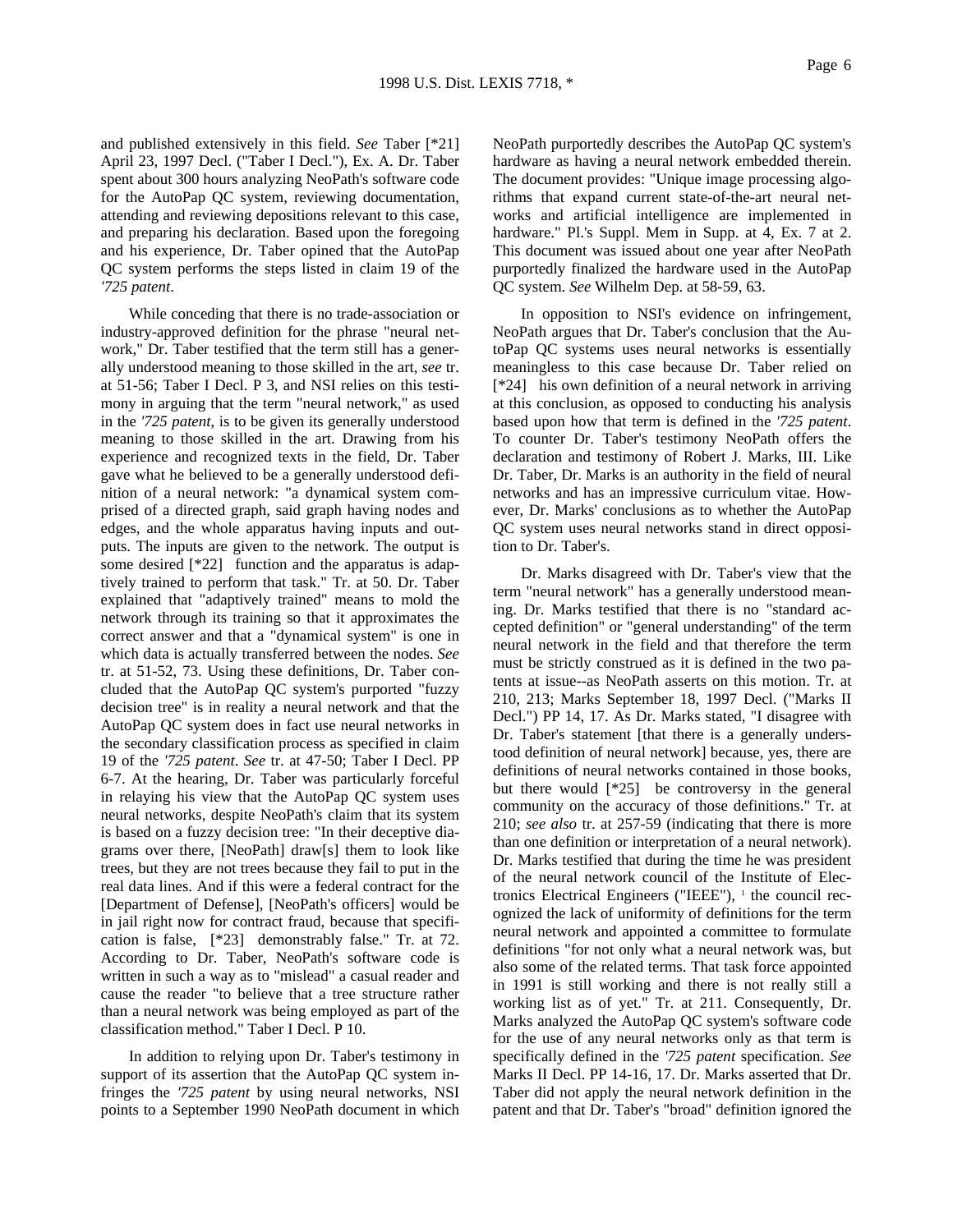and published extensively in this field. *See* Taber [\*21] April 23, 1997 Decl. ("Taber I Decl."), Ex. A. Dr. Taber spent about 300 hours analyzing NeoPath's software code for the AutoPap QC system, reviewing documentation, attending and reviewing depositions relevant to this case, and preparing his declaration. Based upon the foregoing and his experience, Dr. Taber opined that the AutoPap QC system performs the steps listed in claim 19 of the *'725 patent*.

While conceding that there is no trade-association or industry-approved definition for the phrase "neural network," Dr. Taber testified that the term still has a generally understood meaning to those skilled in the art, *see* tr. at 51-56; Taber I Decl. P 3, and NSI relies on this testimony in arguing that the term "neural network," as used in the *'725 patent*, is to be given its generally understood meaning to those skilled in the art. Drawing from his experience and recognized texts in the field, Dr. Taber gave what he believed to be a generally understood definition of a neural network: "a dynamical system comprised of a directed graph, said graph having nodes and edges, and the whole apparatus having inputs and outputs. The inputs are given to the network. The output is some desired [\*22] function and the apparatus is adaptively trained to perform that task." Tr. at 50. Dr. Taber explained that "adaptively trained" means to mold the network through its training so that it approximates the correct answer and that a "dynamical system" is one in which data is actually transferred between the nodes. *See* tr. at 51-52, 73. Using these definitions, Dr. Taber concluded that the AutoPap QC system's purported "fuzzy decision tree" is in reality a neural network and that the AutoPap QC system does in fact use neural networks in the secondary classification process as specified in claim 19 of the *'725 patent*. *See* tr. at 47-50; Taber I Decl. PP 6-7. At the hearing, Dr. Taber was particularly forceful in relaying his view that the AutoPap QC system uses neural networks, despite NeoPath's claim that its system is based on a fuzzy decision tree: "In their deceptive diagrams over there, [NeoPath] draw[s] them to look like trees, but they are not trees because they fail to put in the real data lines. And if this were a federal contract for the [Department of Defense], [NeoPath's officers] would be in jail right now for contract fraud, because that specification is false, [\*23] demonstrably false." Tr. at 72. According to Dr. Taber, NeoPath's software code is written in such a way as to "mislead" a casual reader and cause the reader "to believe that a tree structure rather than a neural network was being employed as part of the classification method." Taber I Decl. P 10.

In addition to relying upon Dr. Taber's testimony in support of its assertion that the AutoPap QC system infringes the *'725 patent* by using neural networks, NSI points to a September 1990 NeoPath document in which NeoPath purportedly describes the AutoPap QC system's hardware as having a neural network embedded therein. The document provides: "Unique image processing algorithms that expand current state-of-the-art neural networks and artificial intelligence are implemented in hardware." Pl.'s Suppl. Mem in Supp. at 4, Ex. 7 at 2. This document was issued about one year after NeoPath purportedly finalized the hardware used in the AutoPap QC system. *See* Wilhelm Dep. at 58-59, 63.

In opposition to NSI's evidence on infringement, NeoPath argues that Dr. Taber's conclusion that the AutoPap QC systems uses neural networks is essentially meaningless to this case because Dr. Taber relied on [\*24] his own definition of a neural network in arriving at this conclusion, as opposed to conducting his analysis based upon how that term is defined in the *'725 patent*. To counter Dr. Taber's testimony NeoPath offers the declaration and testimony of Robert J. Marks, III. Like Dr. Taber, Dr. Marks is an authority in the field of neural networks and has an impressive curriculum vitae. However, Dr. Marks' conclusions as to whether the AutoPap QC system uses neural networks stand in direct opposition to Dr. Taber's.

Dr. Marks disagreed with Dr. Taber's view that the term "neural network" has a generally understood meaning. Dr. Marks testified that there is no "standard accepted definition" or "general understanding" of the term neural network in the field and that therefore the term must be strictly construed as it is defined in the two patents at issue--as NeoPath asserts on this motion. Tr. at 210, 213; Marks September 18, 1997 Decl. ("Marks II Decl.") PP 14, 17. As Dr. Marks stated, "I disagree with Dr. Taber's statement [that there is a generally understood definition of neural network] because, yes, there are definitions of neural networks contained in those books, but there would [\*25] be controversy in the general community on the accuracy of those definitions." Tr. at 210; *see also* tr. at 257-59 (indicating that there is more than one definition or interpretation of a neural network). Dr. Marks testified that during the time he was president of the neural network council of the Institute of Electronics Electrical Engineers ("IEEE"),  $<sup>1</sup>$  the council rec-</sup> ognized the lack of uniformity of definitions for the term neural network and appointed a committee to formulate definitions "for not only what a neural network was, but also some of the related terms. That task force appointed in 1991 is still working and there is not really still a working list as of yet." Tr. at 211. Consequently, Dr. Marks analyzed the AutoPap QC system's software code for the use of any neural networks only as that term is specifically defined in the *'725 patent* specification. *See* Marks II Decl. PP 14-16, 17. Dr. Marks asserted that Dr. Taber did not apply the neural network definition in the patent and that Dr. Taber's "broad" definition ignored the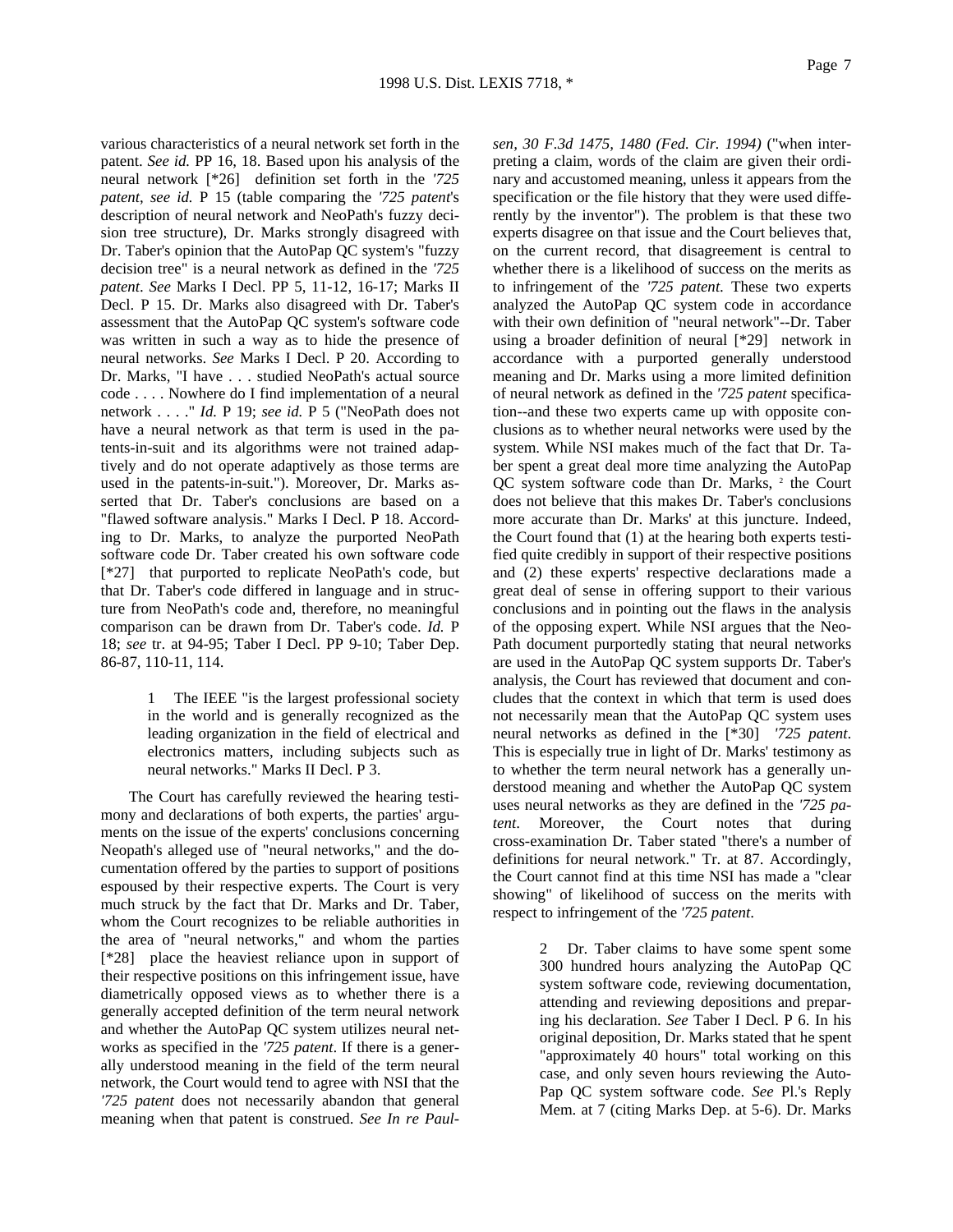various characteristics of a neural network set forth in the patent. *See id.* PP 16, 18. Based upon his analysis of the neural network [\*26] definition set forth in the *'725 patent*, *see id.* P 15 (table comparing the *'725 patent*'s description of neural network and NeoPath's fuzzy decision tree structure), Dr. Marks strongly disagreed with Dr. Taber's opinion that the AutoPap QC system's "fuzzy decision tree" is a neural network as defined in the *'725 patent*. *See* Marks I Decl. PP 5, 11-12, 16-17; Marks II Decl. P 15. Dr. Marks also disagreed with Dr. Taber's assessment that the AutoPap QC system's software code was written in such a way as to hide the presence of neural networks. *See* Marks I Decl. P 20. According to Dr. Marks, "I have . . . studied NeoPath's actual source code . . . . Nowhere do I find implementation of a neural network . . . ." *Id.* P 19; *see id.* P 5 ("NeoPath does not have a neural network as that term is used in the patents-in-suit and its algorithms were not trained adaptively and do not operate adaptively as those terms are used in the patents-in-suit."). Moreover, Dr. Marks asserted that Dr. Taber's conclusions are based on a "flawed software analysis." Marks I Decl. P 18. According to Dr. Marks, to analyze the purported NeoPath software code Dr. Taber created his own software code [\*27] that purported to replicate NeoPath's code, but that Dr. Taber's code differed in language and in structure from NeoPath's code and, therefore, no meaningful comparison can be drawn from Dr. Taber's code. *Id.* P 18; *see* tr. at 94-95; Taber I Decl. PP 9-10; Taber Dep. 86-87, 110-11, 114.

> 1 The IEEE "is the largest professional society in the world and is generally recognized as the leading organization in the field of electrical and electronics matters, including subjects such as neural networks." Marks II Decl. P 3.

The Court has carefully reviewed the hearing testimony and declarations of both experts, the parties' arguments on the issue of the experts' conclusions concerning Neopath's alleged use of "neural networks," and the documentation offered by the parties to support of positions espoused by their respective experts. The Court is very much struck by the fact that Dr. Marks and Dr. Taber, whom the Court recognizes to be reliable authorities in the area of "neural networks," and whom the parties [\*28] place the heaviest reliance upon in support of their respective positions on this infringement issue, have diametrically opposed views as to whether there is a generally accepted definition of the term neural network and whether the AutoPap QC system utilizes neural networks as specified in the *'725 patent*. If there is a generally understood meaning in the field of the term neural network, the Court would tend to agree with NSI that the *'725 patent* does not necessarily abandon that general meaning when that patent is construed. *See In re Paul-* *sen, 30 F.3d 1475, 1480 (Fed. Cir. 1994)* ("when interpreting a claim, words of the claim are given their ordinary and accustomed meaning, unless it appears from the specification or the file history that they were used differently by the inventor"). The problem is that these two experts disagree on that issue and the Court believes that, on the current record, that disagreement is central to whether there is a likelihood of success on the merits as to infringement of the *'725 patent*. These two experts analyzed the AutoPap QC system code in accordance with their own definition of "neural network"--Dr. Taber using a broader definition of neural [\*29] network in accordance with a purported generally understood meaning and Dr. Marks using a more limited definition of neural network as defined in the *'725 patent* specification--and these two experts came up with opposite conclusions as to whether neural networks were used by the system. While NSI makes much of the fact that Dr. Taber spent a great deal more time analyzing the AutoPap QC system software code than Dr. Marks, <sup>2</sup> the Court does not believe that this makes Dr. Taber's conclusions more accurate than Dr. Marks' at this juncture. Indeed, the Court found that (1) at the hearing both experts testified quite credibly in support of their respective positions and (2) these experts' respective declarations made a great deal of sense in offering support to their various conclusions and in pointing out the flaws in the analysis of the opposing expert. While NSI argues that the Neo-Path document purportedly stating that neural networks are used in the AutoPap QC system supports Dr. Taber's analysis, the Court has reviewed that document and concludes that the context in which that term is used does not necessarily mean that the AutoPap QC system uses neural networks as defined in the [\*30] *'725 patent*. This is especially true in light of Dr. Marks' testimony as to whether the term neural network has a generally understood meaning and whether the AutoPap QC system uses neural networks as they are defined in the *'725 patent*. Moreover, the Court notes that during cross-examination Dr. Taber stated "there's a number of definitions for neural network." Tr. at 87. Accordingly, the Court cannot find at this time NSI has made a "clear showing" of likelihood of success on the merits with respect to infringement of the *'725 patent*.

> Dr. Taber claims to have some spent some 300 hundred hours analyzing the AutoPap QC system software code, reviewing documentation, attending and reviewing depositions and preparing his declaration. *See* Taber I Decl. P 6. In his original deposition, Dr. Marks stated that he spent "approximately 40 hours" total working on this case, and only seven hours reviewing the Auto-Pap QC system software code. *See* Pl.'s Reply Mem. at 7 (citing Marks Dep. at 5-6). Dr. Marks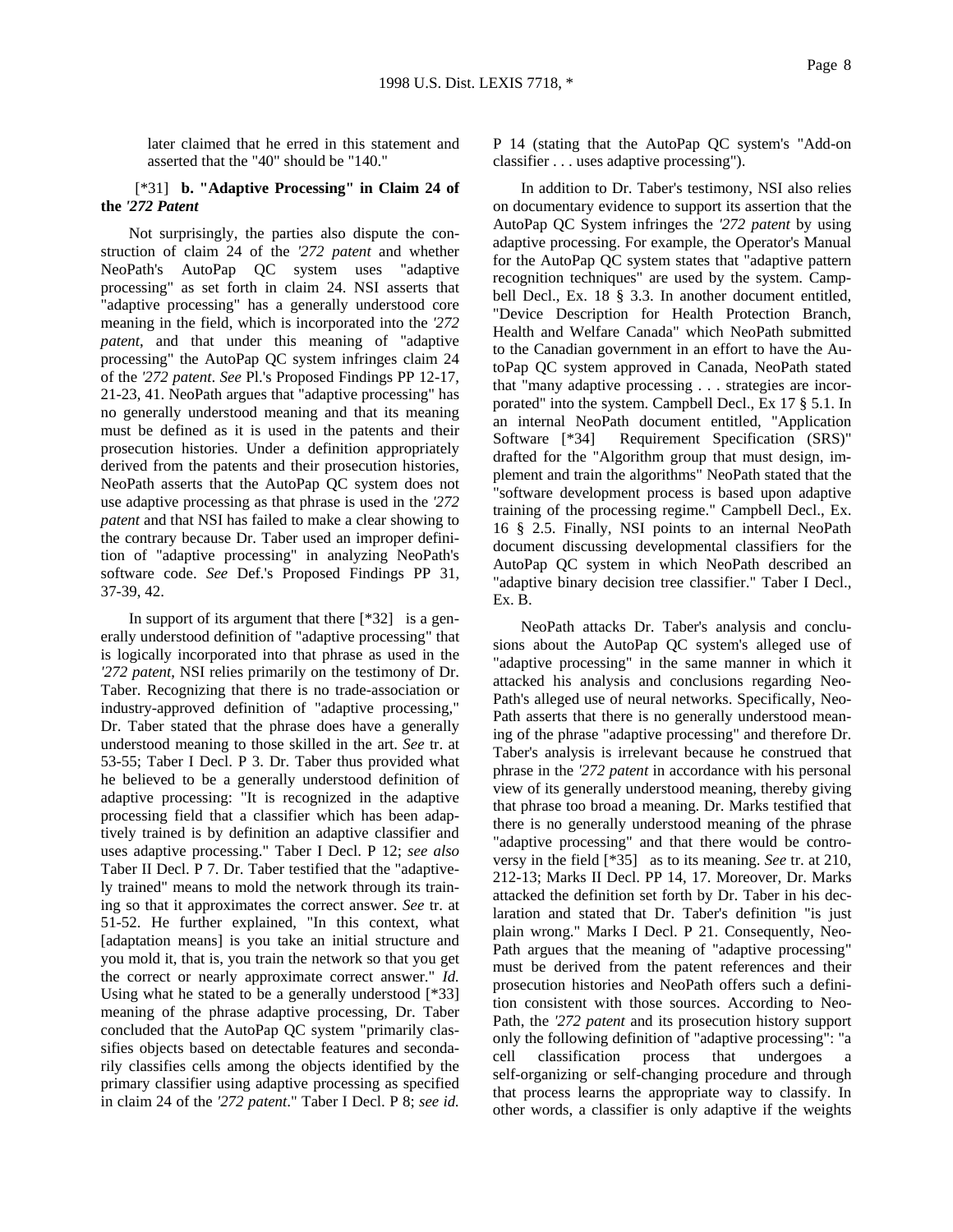later claimed that he erred in this statement and asserted that the "40" should be "140."

## [\*31] **b. "Adaptive Processing" in Claim 24 of the** *'272 Patent*

Not surprisingly, the parties also dispute the construction of claim 24 of the *'272 patent* and whether NeoPath's AutoPap QC system uses "adaptive processing" as set forth in claim 24. NSI asserts that "adaptive processing" has a generally understood core meaning in the field, which is incorporated into the *'272 patent*, and that under this meaning of "adaptive processing" the AutoPap QC system infringes claim 24 of the *'272 patent*. *See* Pl.'s Proposed Findings PP 12-17, 21-23, 41. NeoPath argues that "adaptive processing" has no generally understood meaning and that its meaning must be defined as it is used in the patents and their prosecution histories. Under a definition appropriately derived from the patents and their prosecution histories, NeoPath asserts that the AutoPap QC system does not use adaptive processing as that phrase is used in the *'272 patent* and that NSI has failed to make a clear showing to the contrary because Dr. Taber used an improper definition of "adaptive processing" in analyzing NeoPath's software code. *See* Def.'s Proposed Findings PP 31, 37-39, 42.

In support of its argument that there [\*32] is a generally understood definition of "adaptive processing" that is logically incorporated into that phrase as used in the *'272 patent*, NSI relies primarily on the testimony of Dr. Taber. Recognizing that there is no trade-association or industry-approved definition of "adaptive processing," Dr. Taber stated that the phrase does have a generally understood meaning to those skilled in the art. *See* tr. at 53-55; Taber I Decl. P 3. Dr. Taber thus provided what he believed to be a generally understood definition of adaptive processing: "It is recognized in the adaptive processing field that a classifier which has been adaptively trained is by definition an adaptive classifier and uses adaptive processing." Taber I Decl. P 12; *see also* Taber II Decl. P 7. Dr. Taber testified that the "adaptively trained" means to mold the network through its training so that it approximates the correct answer. *See* tr. at 51-52. He further explained, "In this context, what [adaptation means] is you take an initial structure and you mold it, that is, you train the network so that you get the correct or nearly approximate correct answer." *Id.* Using what he stated to be a generally understood [\*33] meaning of the phrase adaptive processing, Dr. Taber concluded that the AutoPap QC system "primarily classifies objects based on detectable features and secondarily classifies cells among the objects identified by the primary classifier using adaptive processing as specified in claim 24 of the *'272 patent*." Taber I Decl. P 8; *see id.*

P 14 (stating that the AutoPap QC system's "Add-on classifier . . . uses adaptive processing").

In addition to Dr. Taber's testimony, NSI also relies on documentary evidence to support its assertion that the AutoPap QC System infringes the *'272 patent* by using adaptive processing. For example, the Operator's Manual for the AutoPap QC system states that "adaptive pattern recognition techniques" are used by the system. Campbell Decl., Ex. 18 § 3.3. In another document entitled, "Device Description for Health Protection Branch, Health and Welfare Canada" which NeoPath submitted to the Canadian government in an effort to have the AutoPap QC system approved in Canada, NeoPath stated that "many adaptive processing . . . strategies are incorporated" into the system. Campbell Decl., Ex 17 § 5.1. In an internal NeoPath document entitled, "Application Software [\*34] Requirement Specification (SRS)" drafted for the "Algorithm group that must design, implement and train the algorithms" NeoPath stated that the "software development process is based upon adaptive training of the processing regime." Campbell Decl., Ex. 16 § 2.5. Finally, NSI points to an internal NeoPath document discussing developmental classifiers for the AutoPap QC system in which NeoPath described an "adaptive binary decision tree classifier." Taber I Decl., Ex. B.

NeoPath attacks Dr. Taber's analysis and conclusions about the AutoPap QC system's alleged use of "adaptive processing" in the same manner in which it attacked his analysis and conclusions regarding Neo-Path's alleged use of neural networks. Specifically, Neo-Path asserts that there is no generally understood meaning of the phrase "adaptive processing" and therefore Dr. Taber's analysis is irrelevant because he construed that phrase in the *'272 patent* in accordance with his personal view of its generally understood meaning, thereby giving that phrase too broad a meaning. Dr. Marks testified that there is no generally understood meaning of the phrase "adaptive processing" and that there would be controversy in the field [\*35] as to its meaning. *See* tr. at 210, 212-13; Marks II Decl. PP 14, 17. Moreover, Dr. Marks attacked the definition set forth by Dr. Taber in his declaration and stated that Dr. Taber's definition "is just plain wrong." Marks I Decl. P 21. Consequently, Neo-Path argues that the meaning of "adaptive processing" must be derived from the patent references and their prosecution histories and NeoPath offers such a definition consistent with those sources. According to Neo-Path, the *'272 patent* and its prosecution history support only the following definition of "adaptive processing": "a cell classification process that undergoes a self-organizing or self-changing procedure and through that process learns the appropriate way to classify. In other words, a classifier is only adaptive if the weights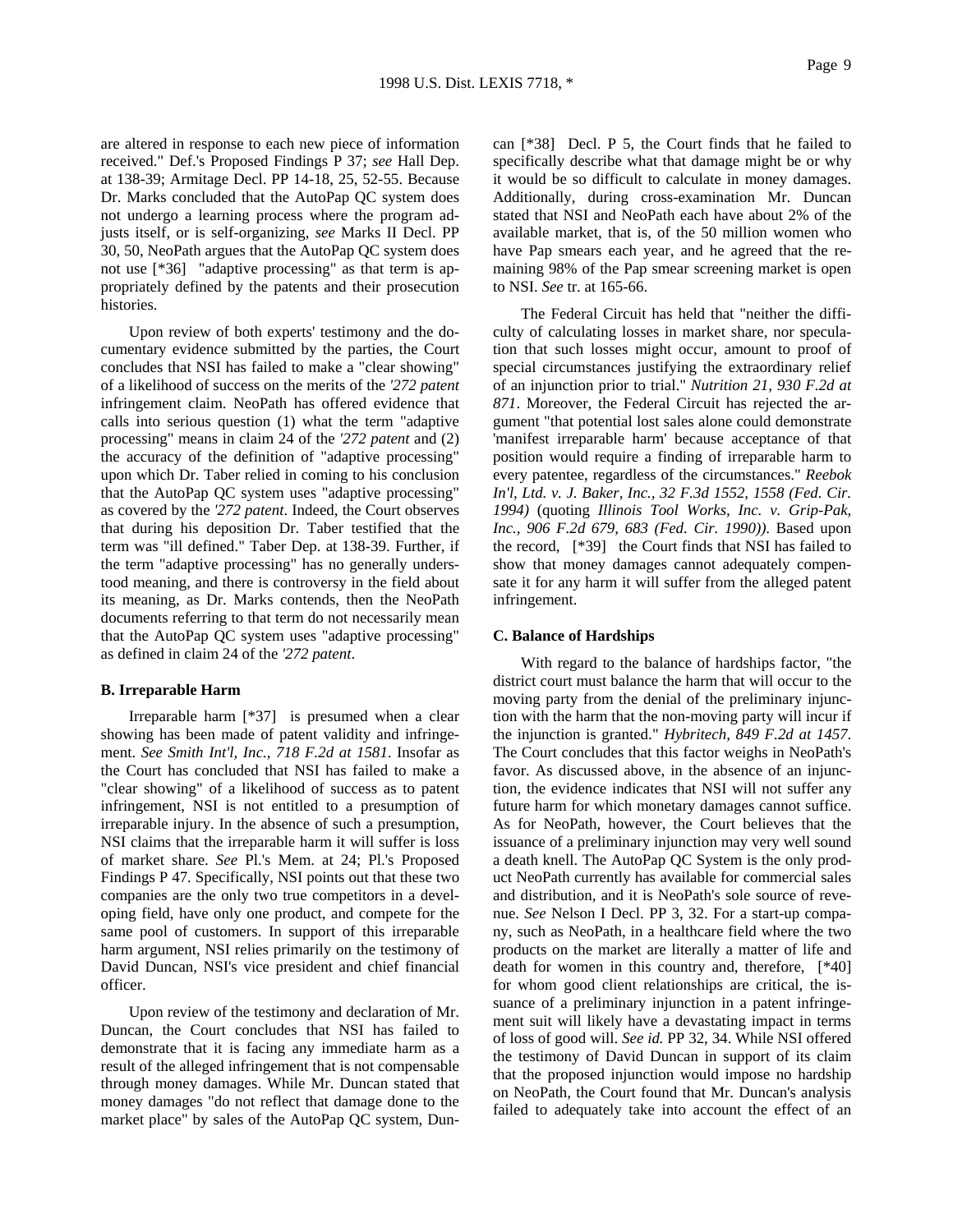are altered in response to each new piece of information received." Def.'s Proposed Findings P 37; *see* Hall Dep. at 138-39; Armitage Decl. PP 14-18, 25, 52-55. Because Dr. Marks concluded that the AutoPap QC system does not undergo a learning process where the program adjusts itself, or is self-organizing, *see* Marks II Decl. PP 30, 50, NeoPath argues that the AutoPap QC system does not use [\*36] "adaptive processing" as that term is appropriately defined by the patents and their prosecution histories.

Upon review of both experts' testimony and the documentary evidence submitted by the parties, the Court concludes that NSI has failed to make a "clear showing" of a likelihood of success on the merits of the *'272 patent* infringement claim. NeoPath has offered evidence that calls into serious question (1) what the term "adaptive processing" means in claim 24 of the *'272 patent* and (2) the accuracy of the definition of "adaptive processing" upon which Dr. Taber relied in coming to his conclusion that the AutoPap QC system uses "adaptive processing" as covered by the *'272 patent*. Indeed, the Court observes that during his deposition Dr. Taber testified that the term was "ill defined." Taber Dep. at 138-39. Further, if the term "adaptive processing" has no generally understood meaning, and there is controversy in the field about its meaning, as Dr. Marks contends, then the NeoPath documents referring to that term do not necessarily mean that the AutoPap QC system uses "adaptive processing" as defined in claim 24 of the *'272 patent*.

#### **B. Irreparable Harm**

Irreparable harm [\*37] is presumed when a clear showing has been made of patent validity and infringement. *See Smith Int'l, Inc., 718 F.2d at 1581*. Insofar as the Court has concluded that NSI has failed to make a "clear showing" of a likelihood of success as to patent infringement, NSI is not entitled to a presumption of irreparable injury. In the absence of such a presumption, NSI claims that the irreparable harm it will suffer is loss of market share. *See* Pl.'s Mem. at 24; Pl.'s Proposed Findings P 47. Specifically, NSI points out that these two companies are the only two true competitors in a developing field, have only one product, and compete for the same pool of customers. In support of this irreparable harm argument, NSI relies primarily on the testimony of David Duncan, NSI's vice president and chief financial officer.

Upon review of the testimony and declaration of Mr. Duncan, the Court concludes that NSI has failed to demonstrate that it is facing any immediate harm as a result of the alleged infringement that is not compensable through money damages. While Mr. Duncan stated that money damages "do not reflect that damage done to the market place" by sales of the AutoPap QC system, Duncan [\*38] Decl. P 5, the Court finds that he failed to specifically describe what that damage might be or why it would be so difficult to calculate in money damages. Additionally, during cross-examination Mr. Duncan stated that NSI and NeoPath each have about 2% of the available market, that is, of the 50 million women who have Pap smears each year, and he agreed that the remaining 98% of the Pap smear screening market is open to NSI. *See* tr. at 165-66.

The Federal Circuit has held that "neither the difficulty of calculating losses in market share, nor speculation that such losses might occur, amount to proof of special circumstances justifying the extraordinary relief of an injunction prior to trial." *Nutrition 21*, *930 F.2d at 871*. Moreover, the Federal Circuit has rejected the argument "that potential lost sales alone could demonstrate 'manifest irreparable harm' because acceptance of that position would require a finding of irreparable harm to every patentee, regardless of the circumstances." *Reebok In'l, Ltd. v. J. Baker, Inc., 32 F.3d 1552, 1558 (Fed. Cir. 1994)* (quoting *Illinois Tool Works, Inc. v. Grip-Pak, Inc., 906 F.2d 679, 683 (Fed. Cir. 1990))*. Based upon the record, [\*39] the Court finds that NSI has failed to show that money damages cannot adequately compensate it for any harm it will suffer from the alleged patent infringement.

### **C. Balance of Hardships**

With regard to the balance of hardships factor, "the district court must balance the harm that will occur to the moving party from the denial of the preliminary injunction with the harm that the non-moving party will incur if the injunction is granted." *Hybritech, 849 F.2d at 1457*. The Court concludes that this factor weighs in NeoPath's favor. As discussed above, in the absence of an injunction, the evidence indicates that NSI will not suffer any future harm for which monetary damages cannot suffice. As for NeoPath, however, the Court believes that the issuance of a preliminary injunction may very well sound a death knell. The AutoPap QC System is the only product NeoPath currently has available for commercial sales and distribution, and it is NeoPath's sole source of revenue. *See* Nelson I Decl. PP 3, 32. For a start-up company, such as NeoPath, in a healthcare field where the two products on the market are literally a matter of life and death for women in this country and, therefore, [\*40] for whom good client relationships are critical, the issuance of a preliminary injunction in a patent infringement suit will likely have a devastating impact in terms of loss of good will. *See id.* PP 32, 34. While NSI offered the testimony of David Duncan in support of its claim that the proposed injunction would impose no hardship on NeoPath, the Court found that Mr. Duncan's analysis failed to adequately take into account the effect of an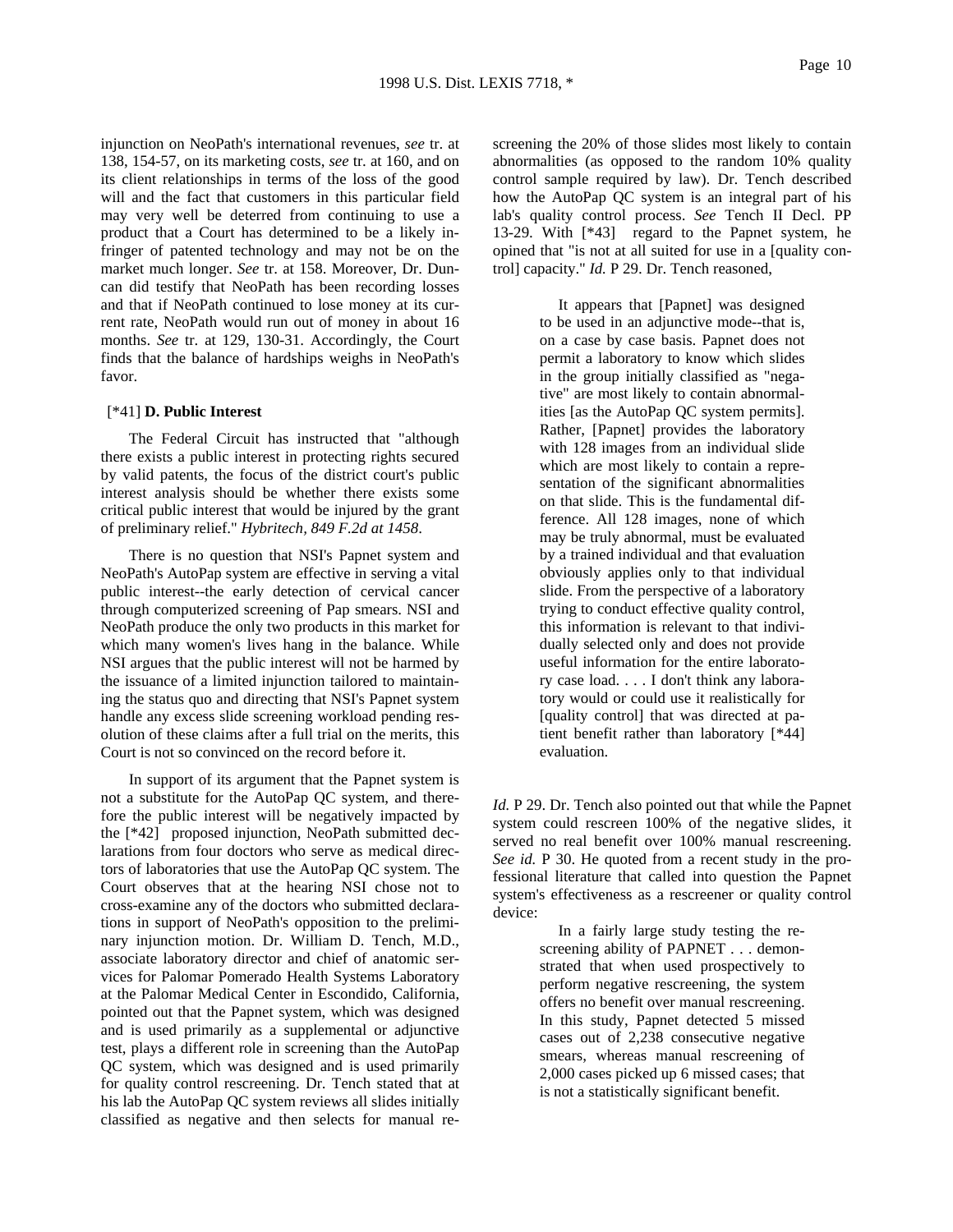injunction on NeoPath's international revenues, *see* tr. at 138, 154-57, on its marketing costs, *see* tr. at 160, and on its client relationships in terms of the loss of the good will and the fact that customers in this particular field may very well be deterred from continuing to use a product that a Court has determined to be a likely infringer of patented technology and may not be on the market much longer. *See* tr. at 158. Moreover, Dr. Duncan did testify that NeoPath has been recording losses and that if NeoPath continued to lose money at its current rate, NeoPath would run out of money in about 16 months. *See* tr. at 129, 130-31. Accordingly, the Court finds that the balance of hardships weighs in NeoPath's favor.

### [\*41] **D. Public Interest**

The Federal Circuit has instructed that "although there exists a public interest in protecting rights secured by valid patents, the focus of the district court's public interest analysis should be whether there exists some critical public interest that would be injured by the grant of preliminary relief." *Hybritech, 849 F.2d at 1458*.

There is no question that NSI's Papnet system and NeoPath's AutoPap system are effective in serving a vital public interest--the early detection of cervical cancer through computerized screening of Pap smears. NSI and NeoPath produce the only two products in this market for which many women's lives hang in the balance. While NSI argues that the public interest will not be harmed by the issuance of a limited injunction tailored to maintaining the status quo and directing that NSI's Papnet system handle any excess slide screening workload pending resolution of these claims after a full trial on the merits, this Court is not so convinced on the record before it.

In support of its argument that the Papnet system is not a substitute for the AutoPap QC system, and therefore the public interest will be negatively impacted by the [\*42] proposed injunction, NeoPath submitted declarations from four doctors who serve as medical directors of laboratories that use the AutoPap QC system. The Court observes that at the hearing NSI chose not to cross-examine any of the doctors who submitted declarations in support of NeoPath's opposition to the preliminary injunction motion. Dr. William D. Tench, M.D., associate laboratory director and chief of anatomic services for Palomar Pomerado Health Systems Laboratory at the Palomar Medical Center in Escondido, California, pointed out that the Papnet system, which was designed and is used primarily as a supplemental or adjunctive test, plays a different role in screening than the AutoPap QC system, which was designed and is used primarily for quality control rescreening. Dr. Tench stated that at his lab the AutoPap QC system reviews all slides initially classified as negative and then selects for manual rescreening the 20% of those slides most likely to contain abnormalities (as opposed to the random 10% quality control sample required by law). Dr. Tench described how the AutoPap QC system is an integral part of his lab's quality control process. *See* Tench II Decl. PP 13-29. With [\*43] regard to the Papnet system, he opined that "is not at all suited for use in a [quality control] capacity." *Id.* P 29. Dr. Tench reasoned,

> It appears that [Papnet] was designed to be used in an adjunctive mode--that is, on a case by case basis. Papnet does not permit a laboratory to know which slides in the group initially classified as "negative" are most likely to contain abnormalities [as the AutoPap QC system permits]. Rather, [Papnet] provides the laboratory with 128 images from an individual slide which are most likely to contain a representation of the significant abnormalities on that slide. This is the fundamental difference. All 128 images, none of which may be truly abnormal, must be evaluated by a trained individual and that evaluation obviously applies only to that individual slide. From the perspective of a laboratory trying to conduct effective quality control, this information is relevant to that individually selected only and does not provide useful information for the entire laboratory case load. . . . I don't think any laboratory would or could use it realistically for [quality control] that was directed at patient benefit rather than laboratory [\*44] evaluation.

*Id.* P 29. Dr. Tench also pointed out that while the Papnet system could rescreen 100% of the negative slides, it served no real benefit over 100% manual rescreening. *See id.* P 30. He quoted from a recent study in the professional literature that called into question the Papnet system's effectiveness as a rescreener or quality control device:

> In a fairly large study testing the rescreening ability of PAPNET . . . demonstrated that when used prospectively to perform negative rescreening, the system offers no benefit over manual rescreening. In this study, Papnet detected 5 missed cases out of 2,238 consecutive negative smears, whereas manual rescreening of 2,000 cases picked up 6 missed cases; that is not a statistically significant benefit.